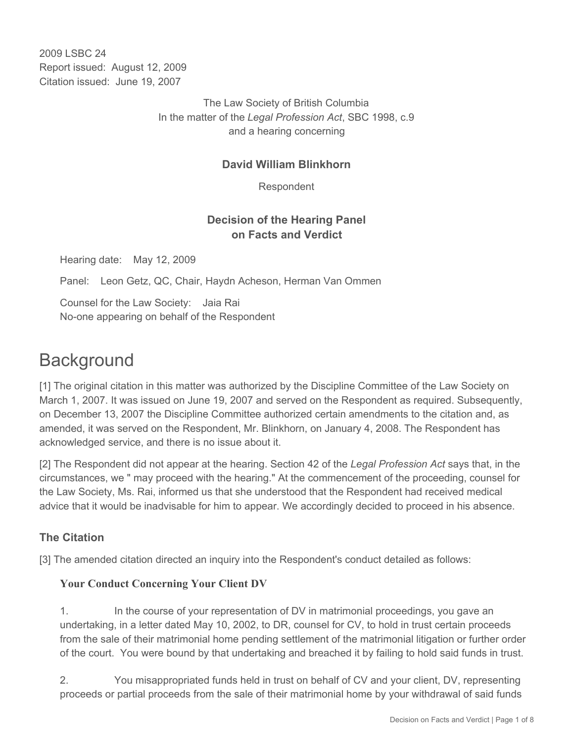2009 LSBC 24 Report issued: August 12, 2009 Citation issued: June 19, 2007

> The Law Society of British Columbia In the matter of the *Legal Profession Act*, SBC 1998, c.9 and a hearing concerning

### **David William Blinkhorn**

Respondent

# **Decision of the Hearing Panel on Facts and Verdict**

Hearing date: May 12, 2009

Panel: Leon Getz, QC, Chair, Haydn Acheson, Herman Van Ommen

Counsel for the Law Society: Jaia Rai No-one appearing on behalf of the Respondent

# **Background**

[1] The original citation in this matter was authorized by the Discipline Committee of the Law Society on March 1, 2007. It was issued on June 19, 2007 and served on the Respondent as required. Subsequently, on December 13, 2007 the Discipline Committee authorized certain amendments to the citation and, as amended, it was served on the Respondent, Mr. Blinkhorn, on January 4, 2008. The Respondent has acknowledged service, and there is no issue about it.

[2] The Respondent did not appear at the hearing. Section 42 of the *Legal Profession Act* says that, in the circumstances, we " may proceed with the hearing." At the commencement of the proceeding, counsel for the Law Society, Ms. Rai, informed us that she understood that the Respondent had received medical advice that it would be inadvisable for him to appear. We accordingly decided to proceed in his absence.

# **The Citation**

[3] The amended citation directed an inquiry into the Respondent's conduct detailed as follows:

#### **Your Conduct Concerning Your Client DV**

1. In the course of your representation of DV in matrimonial proceedings, you gave an undertaking, in a letter dated May 10, 2002, to DR, counsel for CV, to hold in trust certain proceeds from the sale of their matrimonial home pending settlement of the matrimonial litigation or further order of the court. You were bound by that undertaking and breached it by failing to hold said funds in trust.

2. You misappropriated funds held in trust on behalf of CV and your client, DV, representing proceeds or partial proceeds from the sale of their matrimonial home by your withdrawal of said funds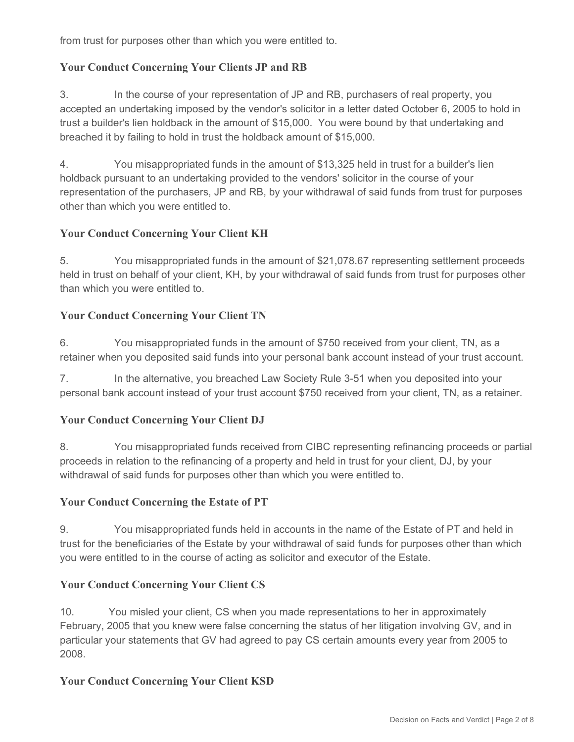from trust for purposes other than which you were entitled to.

# **Your Conduct Concerning Your Clients JP and RB**

3. In the course of your representation of JP and RB, purchasers of real property, you accepted an undertaking imposed by the vendor's solicitor in a letter dated October 6, 2005 to hold in trust a builder's lien holdback in the amount of \$15,000. You were bound by that undertaking and breached it by failing to hold in trust the holdback amount of \$15,000.

4. You misappropriated funds in the amount of \$13,325 held in trust for a builder's lien holdback pursuant to an undertaking provided to the vendors' solicitor in the course of your representation of the purchasers, JP and RB, by your withdrawal of said funds from trust for purposes other than which you were entitled to.

# **Your Conduct Concerning Your Client KH**

5. You misappropriated funds in the amount of \$21,078.67 representing settlement proceeds held in trust on behalf of your client, KH, by your withdrawal of said funds from trust for purposes other than which you were entitled to.

# **Your Conduct Concerning Your Client TN**

6. You misappropriated funds in the amount of \$750 received from your client, TN, as a retainer when you deposited said funds into your personal bank account instead of your trust account.

7. In the alternative, you breached Law Society Rule 3-51 when you deposited into your personal bank account instead of your trust account \$750 received from your client, TN, as a retainer.

# **Your Conduct Concerning Your Client DJ**

8. You misappropriated funds received from CIBC representing refinancing proceeds or partial proceeds in relation to the refinancing of a property and held in trust for your client, DJ, by your withdrawal of said funds for purposes other than which you were entitled to.

#### **Your Conduct Concerning the Estate of PT**

9. You misappropriated funds held in accounts in the name of the Estate of PT and held in trust for the beneficiaries of the Estate by your withdrawal of said funds for purposes other than which you were entitled to in the course of acting as solicitor and executor of the Estate.

# **Your Conduct Concerning Your Client CS**

10. You misled your client, CS when you made representations to her in approximately February, 2005 that you knew were false concerning the status of her litigation involving GV, and in particular your statements that GV had agreed to pay CS certain amounts every year from 2005 to 2008.

#### **Your Conduct Concerning Your Client KSD**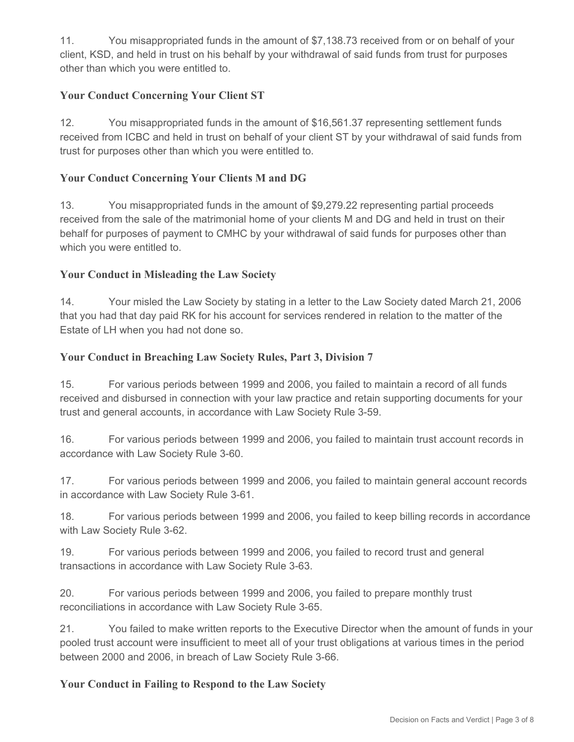11. You misappropriated funds in the amount of \$7,138.73 received from or on behalf of your client, KSD, and held in trust on his behalf by your withdrawal of said funds from trust for purposes other than which you were entitled to.

# **Your Conduct Concerning Your Client ST**

12. You misappropriated funds in the amount of \$16,561.37 representing settlement funds received from ICBC and held in trust on behalf of your client ST by your withdrawal of said funds from trust for purposes other than which you were entitled to.

# **Your Conduct Concerning Your Clients M and DG**

13. You misappropriated funds in the amount of \$9,279.22 representing partial proceeds received from the sale of the matrimonial home of your clients M and DG and held in trust on their behalf for purposes of payment to CMHC by your withdrawal of said funds for purposes other than which you were entitled to.

# **Your Conduct in Misleading the Law Society**

14. Your misled the Law Society by stating in a letter to the Law Society dated March 21, 2006 that you had that day paid RK for his account for services rendered in relation to the matter of the Estate of LH when you had not done so.

#### **Your Conduct in Breaching Law Society Rules, Part 3, Division 7**

15. For various periods between 1999 and 2006, you failed to maintain a record of all funds received and disbursed in connection with your law practice and retain supporting documents for your trust and general accounts, in accordance with Law Society Rule 3-59.

16. For various periods between 1999 and 2006, you failed to maintain trust account records in accordance with Law Society Rule 3-60.

17. For various periods between 1999 and 2006, you failed to maintain general account records in accordance with Law Society Rule 3-61.

18. For various periods between 1999 and 2006, you failed to keep billing records in accordance with Law Society Rule 3-62.

19. For various periods between 1999 and 2006, you failed to record trust and general transactions in accordance with Law Society Rule 3-63.

20. For various periods between 1999 and 2006, you failed to prepare monthly trust reconciliations in accordance with Law Society Rule 3-65.

21. You failed to make written reports to the Executive Director when the amount of funds in your pooled trust account were insufficient to meet all of your trust obligations at various times in the period between 2000 and 2006, in breach of Law Society Rule 3-66.

#### **Your Conduct in Failing to Respond to the Law Society**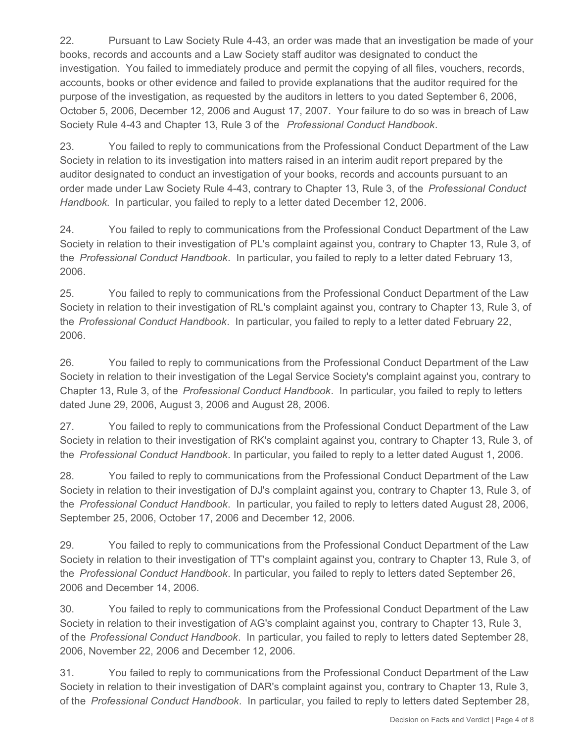22. Pursuant to Law Society Rule 4-43, an order was made that an investigation be made of your books, records and accounts and a Law Society staff auditor was designated to conduct the investigation. You failed to immediately produce and permit the copying of all files, vouchers, records, accounts, books or other evidence and failed to provide explanations that the auditor required for the purpose of the investigation, as requested by the auditors in letters to you dated September 6, 2006, October 5, 2006, December 12, 2006 and August 17, 2007. Your failure to do so was in breach of Law Society Rule 4-43 and Chapter 13, Rule 3 of the *Professional Conduct Handbook*.

23. You failed to reply to communications from the Professional Conduct Department of the Law Society in relation to its investigation into matters raised in an interim audit report prepared by the auditor designated to conduct an investigation of your books, records and accounts pursuant to an order made under Law Society Rule 4-43, contrary to Chapter 13, Rule 3, of the *Professional Conduct Handbook*. In particular, you failed to reply to a letter dated December 12, 2006.

24. You failed to reply to communications from the Professional Conduct Department of the Law Society in relation to their investigation of PL's complaint against you, contrary to Chapter 13, Rule 3, of the *Professional Conduct Handbook*. In particular, you failed to reply to a letter dated February 13, 2006.

25. You failed to reply to communications from the Professional Conduct Department of the Law Society in relation to their investigation of RL's complaint against you, contrary to Chapter 13, Rule 3, of the *Professional Conduct Handbook*. In particular, you failed to reply to a letter dated February 22, 2006.

26. You failed to reply to communications from the Professional Conduct Department of the Law Society in relation to their investigation of the Legal Service Society's complaint against you, contrary to Chapter 13, Rule 3, of the *Professional Conduct Handbook*. In particular, you failed to reply to letters dated June 29, 2006, August 3, 2006 and August 28, 2006.

27. You failed to reply to communications from the Professional Conduct Department of the Law Society in relation to their investigation of RK's complaint against you, contrary to Chapter 13, Rule 3, of the *Professional Conduct Handbook*. In particular, you failed to reply to a letter dated August 1, 2006.

28. You failed to reply to communications from the Professional Conduct Department of the Law Society in relation to their investigation of DJ's complaint against you, contrary to Chapter 13, Rule 3, of the *Professional Conduct Handbook*. In particular, you failed to reply to letters dated August 28, 2006, September 25, 2006, October 17, 2006 and December 12, 2006.

29. You failed to reply to communications from the Professional Conduct Department of the Law Society in relation to their investigation of TT's complaint against you, contrary to Chapter 13, Rule 3, of the *Professional Conduct Handbook*. In particular, you failed to reply to letters dated September 26, 2006 and December 14, 2006.

30. You failed to reply to communications from the Professional Conduct Department of the Law Society in relation to their investigation of AG's complaint against you, contrary to Chapter 13, Rule 3, of the *Professional Conduct Handbook*. In particular, you failed to reply to letters dated September 28, 2006, November 22, 2006 and December 12, 2006.

31. You failed to reply to communications from the Professional Conduct Department of the Law Society in relation to their investigation of DAR's complaint against you, contrary to Chapter 13, Rule 3, of the *Professional Conduct Handbook*. In particular, you failed to reply to letters dated September 28,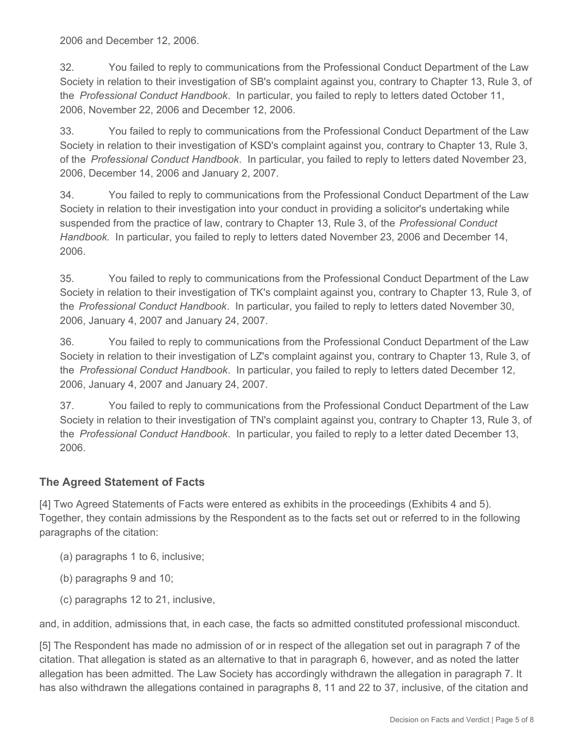2006 and December 12, 2006.

32. You failed to reply to communications from the Professional Conduct Department of the Law Society in relation to their investigation of SB's complaint against you, contrary to Chapter 13, Rule 3, of the *Professional Conduct Handbook*. In particular, you failed to reply to letters dated October 11, 2006, November 22, 2006 and December 12, 2006.

33. You failed to reply to communications from the Professional Conduct Department of the Law Society in relation to their investigation of KSD's complaint against you, contrary to Chapter 13, Rule 3, of the *Professional Conduct Handbook*. In particular, you failed to reply to letters dated November 23, 2006, December 14, 2006 and January 2, 2007.

34. You failed to reply to communications from the Professional Conduct Department of the Law Society in relation to their investigation into your conduct in providing a solicitor's undertaking while suspended from the practice of law, contrary to Chapter 13, Rule 3, of the *Professional Conduct Handbook*. In particular, you failed to reply to letters dated November 23, 2006 and December 14, 2006.

35. You failed to reply to communications from the Professional Conduct Department of the Law Society in relation to their investigation of TK's complaint against you, contrary to Chapter 13, Rule 3, of the *Professional Conduct Handbook*. In particular, you failed to reply to letters dated November 30, 2006, January 4, 2007 and January 24, 2007.

36. You failed to reply to communications from the Professional Conduct Department of the Law Society in relation to their investigation of LZ's complaint against you, contrary to Chapter 13, Rule 3, of the *Professional Conduct Handbook*. In particular, you failed to reply to letters dated December 12, 2006, January 4, 2007 and January 24, 2007.

37. You failed to reply to communications from the Professional Conduct Department of the Law Society in relation to their investigation of TN's complaint against you, contrary to Chapter 13, Rule 3, of the *Professional Conduct Handbook*. In particular, you failed to reply to a letter dated December 13, 2006.

# **The Agreed Statement of Facts**

[4] Two Agreed Statements of Facts were entered as exhibits in the proceedings (Exhibits 4 and 5). Together, they contain admissions by the Respondent as to the facts set out or referred to in the following paragraphs of the citation:

- (a) paragraphs 1 to 6, inclusive;
- (b) paragraphs 9 and 10;
- (c) paragraphs 12 to 21, inclusive,

and, in addition, admissions that, in each case, the facts so admitted constituted professional misconduct.

[5] The Respondent has made no admission of or in respect of the allegation set out in paragraph 7 of the citation. That allegation is stated as an alternative to that in paragraph 6, however, and as noted the latter allegation has been admitted. The Law Society has accordingly withdrawn the allegation in paragraph 7. It has also withdrawn the allegations contained in paragraphs 8, 11 and 22 to 37, inclusive, of the citation and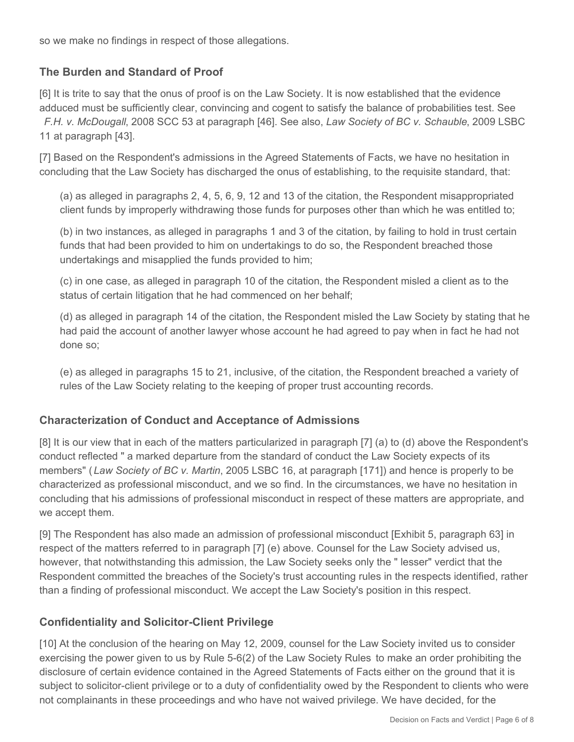so we make no findings in respect of those allegations.

# **The Burden and Standard of Proof**

[6] It is trite to say that the onus of proof is on the Law Society. It is now established that the evidence adduced must be sufficiently clear, convincing and cogent to satisfy the balance of probabilities test. See *F.H. v. McDougall*, 2008 SCC 53 at paragraph [46]. See also, *Law Society of BC v. Schauble*, 2009 LSBC 11 at paragraph [43].

[7] Based on the Respondent's admissions in the Agreed Statements of Facts, we have no hesitation in concluding that the Law Society has discharged the onus of establishing, to the requisite standard, that:

(a) as alleged in paragraphs 2, 4, 5, 6, 9, 12 and 13 of the citation, the Respondent misappropriated client funds by improperly withdrawing those funds for purposes other than which he was entitled to;

(b) in two instances, as alleged in paragraphs 1 and 3 of the citation, by failing to hold in trust certain funds that had been provided to him on undertakings to do so, the Respondent breached those undertakings and misapplied the funds provided to him;

(c) in one case, as alleged in paragraph 10 of the citation, the Respondent misled a client as to the status of certain litigation that he had commenced on her behalf;

(d) as alleged in paragraph 14 of the citation, the Respondent misled the Law Society by stating that he had paid the account of another lawyer whose account he had agreed to pay when in fact he had not done so;

(e) as alleged in paragraphs 15 to 21, inclusive, of the citation, the Respondent breached a variety of rules of the Law Society relating to the keeping of proper trust accounting records.

# **Characterization of Conduct and Acceptance of Admissions**

[8] It is our view that in each of the matters particularized in paragraph [7] (a) to (d) above the Respondent's conduct reflected " a marked departure from the standard of conduct the Law Society expects of its members" ( *Law Society of BC v. Martin*, 2005 LSBC 16, at paragraph [171]) and hence is properly to be characterized as professional misconduct, and we so find. In the circumstances, we have no hesitation in concluding that his admissions of professional misconduct in respect of these matters are appropriate, and we accept them.

[9] The Respondent has also made an admission of professional misconduct [Exhibit 5, paragraph 63] in respect of the matters referred to in paragraph [7] (e) above. Counsel for the Law Society advised us, however, that notwithstanding this admission, the Law Society seeks only the " lesser" verdict that the Respondent committed the breaches of the Society's trust accounting rules in the respects identified, rather than a finding of professional misconduct. We accept the Law Society's position in this respect.

# **Confidentiality and Solicitor-Client Privilege**

[10] At the conclusion of the hearing on May 12, 2009, counsel for the Law Society invited us to consider exercising the power given to us by Rule 5-6(2) of the Law Society Rules to make an order prohibiting the disclosure of certain evidence contained in the Agreed Statements of Facts either on the ground that it is subject to solicitor-client privilege or to a duty of confidentiality owed by the Respondent to clients who were not complainants in these proceedings and who have not waived privilege. We have decided, for the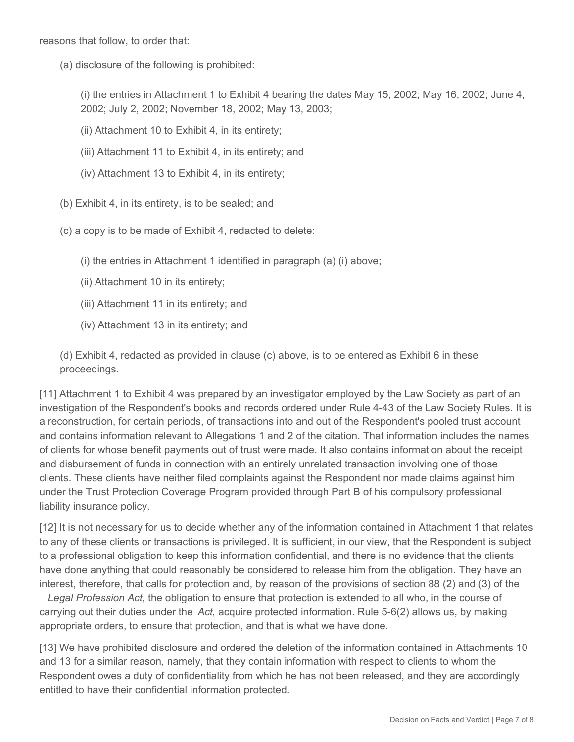reasons that follow, to order that:

(a) disclosure of the following is prohibited:

(i) the entries in Attachment 1 to Exhibit 4 bearing the dates May 15, 2002; May 16, 2002; June 4, 2002; July 2, 2002; November 18, 2002; May 13, 2003;

- (ii) Attachment 10 to Exhibit 4, in its entirety;
- (iii) Attachment 11 to Exhibit 4, in its entirety; and
- (iv) Attachment 13 to Exhibit 4, in its entirety;
- (b) Exhibit 4, in its entirety, is to be sealed; and
- (c) a copy is to be made of Exhibit 4, redacted to delete:
	- (i) the entries in Attachment 1 identified in paragraph (a) (i) above;
	- (ii) Attachment 10 in its entirety;
	- (iii) Attachment 11 in its entirety; and
	- (iv) Attachment 13 in its entirety; and

(d) Exhibit 4, redacted as provided in clause (c) above, is to be entered as Exhibit 6 in these proceedings.

[11] Attachment 1 to Exhibit 4 was prepared by an investigator employed by the Law Society as part of an investigation of the Respondent's books and records ordered under Rule 4-43 of the Law Society Rules. It is a reconstruction, for certain periods, of transactions into and out of the Respondent's pooled trust account and contains information relevant to Allegations 1 and 2 of the citation. That information includes the names of clients for whose benefit payments out of trust were made. It also contains information about the receipt and disbursement of funds in connection with an entirely unrelated transaction involving one of those clients. These clients have neither filed complaints against the Respondent nor made claims against him under the Trust Protection Coverage Program provided through Part B of his compulsory professional liability insurance policy.

[12] It is not necessary for us to decide whether any of the information contained in Attachment 1 that relates to any of these clients or transactions is privileged. It is sufficient, in our view, that the Respondent is subject to a professional obligation to keep this information confidential, and there is no evidence that the clients have done anything that could reasonably be considered to release him from the obligation. They have an interest, therefore, that calls for protection and, by reason of the provisions of section 88 (2) and (3) of the

*Legal Profession Act,* the obligation to ensure that protection is extended to all who, in the course of carrying out their duties under the *Act,* acquire protected information. Rule 5-6(2) allows us, by making appropriate orders, to ensure that protection, and that is what we have done.

[13] We have prohibited disclosure and ordered the deletion of the information contained in Attachments 10 and 13 for a similar reason, namely, that they contain information with respect to clients to whom the Respondent owes a duty of confidentiality from which he has not been released, and they are accordingly entitled to have their confidential information protected.